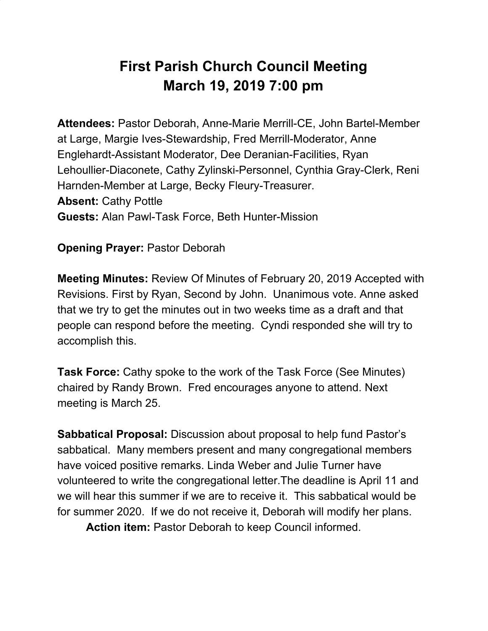## **First Parish Church Council Meeting March 19, 2019 7:00 pm**

**Attendees:** Pastor Deborah, Anne-Marie Merrill-CE, John Bartel-Member at Large, Margie Ives-Stewardship, Fred Merrill-Moderator, Anne Englehardt-Assistant Moderator, Dee Deranian-Facilities, Ryan Lehoullier-Diaconete, Cathy Zylinski-Personnel, Cynthia Gray-Clerk, Reni Harnden-Member at Large, Becky Fleury-Treasurer. **Absent:** Cathy Pottle **Guests:** Alan Pawl-Task Force, Beth Hunter-Mission

**Opening Prayer:** Pastor Deborah

**Meeting Minutes:** Review Of Minutes of February 20, 2019 Accepted with Revisions. First by Ryan, Second by John. Unanimous vote. Anne asked that we try to get the minutes out in two weeks time as a draft and that people can respond before the meeting. Cyndi responded she will try to accomplish this.

**Task Force:** Cathy spoke to the work of the Task Force (See Minutes) chaired by Randy Brown. Fred encourages anyone to attend. Next meeting is March 25.

**Sabbatical Proposal:** Discussion about proposal to help fund Pastor's sabbatical. Many members present and many congregational members have voiced positive remarks. Linda Weber and Julie Turner have volunteered to write the congregational letter.The deadline is April 11 and we will hear this summer if we are to receive it. This sabbatical would be for summer 2020. If we do not receive it, Deborah will modify her plans.

**Action item:** Pastor Deborah to keep Council informed.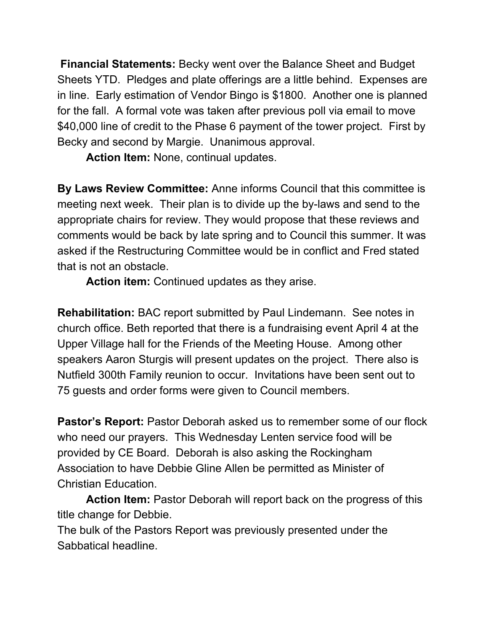**Financial Statements:** Becky went over the Balance Sheet and Budget Sheets YTD. Pledges and plate offerings are a little behind. Expenses are in line. Early estimation of Vendor Bingo is \$1800. Another one is planned for the fall. A formal vote was taken after previous poll via email to move \$40,000 line of credit to the Phase 6 payment of the tower project. First by Becky and second by Margie. Unanimous approval.

**Action Item:** None, continual updates.

**By Laws Review Committee:** Anne informs Council that this committee is meeting next week. Their plan is to divide up the by-laws and send to the appropriate chairs for review. They would propose that these reviews and comments would be back by late spring and to Council this summer. It was asked if the Restructuring Committee would be in conflict and Fred stated that is not an obstacle.

**Action item:** Continued updates as they arise.

**Rehabilitation:** BAC report submitted by Paul Lindemann. See notes in church office. Beth reported that there is a fundraising event April 4 at the Upper Village hall for the Friends of the Meeting House. Among other speakers Aaron Sturgis will present updates on the project. There also is Nutfield 300th Family reunion to occur. Invitations have been sent out to 75 guests and order forms were given to Council members.

**Pastor's Report:** Pastor Deborah asked us to remember some of our flock who need our prayers. This Wednesday Lenten service food will be provided by CE Board. Deborah is also asking the Rockingham Association to have Debbie Gline Allen be permitted as Minister of Christian Education.

**Action Item:** Pastor Deborah will report back on the progress of this title change for Debbie.

The bulk of the Pastors Report was previously presented under the Sabbatical headline.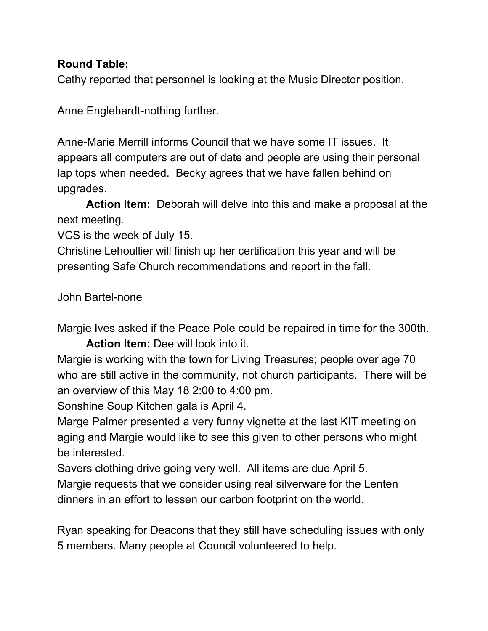## **Round Table:**

Cathy reported that personnel is looking at the Music Director position.

Anne Englehardt-nothing further.

Anne-Marie Merrill informs Council that we have some IT issues. It appears all computers are out of date and people are using their personal lap tops when needed. Becky agrees that we have fallen behind on upgrades.

**Action Item:** Deborah will delve into this and make a proposal at the next meeting.

VCS is the week of July 15.

Christine Lehoullier will finish up her certification this year and will be presenting Safe Church recommendations and report in the fall.

John Bartel-none

Margie Ives asked if the Peace Pole could be repaired in time for the 300th.

**Action Item:** Dee will look into it.

Margie is working with the town for Living Treasures; people over age 70 who are still active in the community, not church participants. There will be an overview of this May 18 2:00 to 4:00 pm.

Sonshine Soup Kitchen gala is April 4.

Marge Palmer presented a very funny vignette at the last KIT meeting on aging and Margie would like to see this given to other persons who might be interested.

Savers clothing drive going very well. All items are due April 5. Margie requests that we consider using real silverware for the Lenten dinners in an effort to lessen our carbon footprint on the world.

Ryan speaking for Deacons that they still have scheduling issues with only 5 members. Many people at Council volunteered to help.